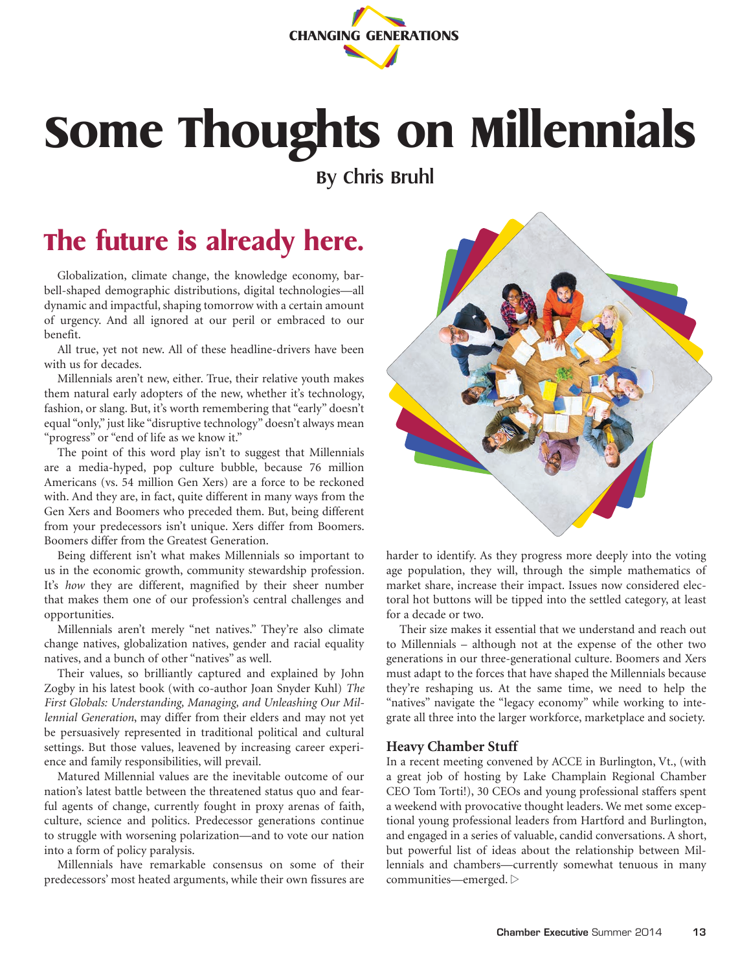

# **Some Thoughts on Millennials**

**By Chris Bruhl**

## **The future is already here.**

Globalization, climate change, the knowledge economy, barbell-shaped demographic distributions, digital technologies—all dynamic and impactful, shaping tomorrow with a certain amount of urgency. And all ignored at our peril or embraced to our benefit.

All true, yet not new. All of these headline-drivers have been with us for decades.

Millennials aren't new, either. True, their relative youth makes them natural early adopters of the new, whether it's technology, fashion, or slang. But, it's worth remembering that "early" doesn't equal "only," just like "disruptive technology" doesn't always mean "progress" or "end of life as we know it."

The point of this word play isn't to suggest that Millennials are a media-hyped, pop culture bubble, because 76 million Americans (vs. 54 million Gen Xers) are a force to be reckoned with. And they are, in fact, quite different in many ways from the Gen Xers and Boomers who preceded them. But, being different from your predecessors isn't unique. Xers differ from Boomers. Boomers differ from the Greatest Generation.

Being different isn't what makes Millennials so important to us in the economic growth, community stewardship profession. It's *how* they are different, magnified by their sheer number that makes them one of our profession's central challenges and opportunities.

Millennials aren't merely "net natives." They're also climate change natives, globalization natives, gender and racial equality natives, and a bunch of other "natives" as well.

Their values, so brilliantly captured and explained by John Zogby in his latest book (with co-author Joan Snyder Kuhl) *The First Globals: Understanding, Managing, and Unleashing Our Millennial Generation*, may differ from their elders and may not yet be persuasively represented in traditional political and cultural settings. But those values, leavened by increasing career experience and family responsibilities, will prevail.

Matured Millennial values are the inevitable outcome of our nation's latest battle between the threatened status quo and fearful agents of change, currently fought in proxy arenas of faith, culture, science and politics. Predecessor generations continue to struggle with worsening polarization—and to vote our nation into a form of policy paralysis.

Millennials have remarkable consensus on some of their predecessors' most heated arguments, while their own fissures are



harder to identify. As they progress more deeply into the voting age population, they will, through the simple mathematics of market share, increase their impact. Issues now considered electoral hot buttons will be tipped into the settled category, at least for a decade or two.

Their size makes it essential that we understand and reach out to Millennials – although not at the expense of the other two generations in our three-generational culture. Boomers and Xers must adapt to the forces that have shaped the Millennials because they're reshaping us. At the same time, we need to help the "natives" navigate the "legacy economy" while working to integrate all three into the larger workforce, marketplace and society.

#### **Heavy Chamber Stuff**

In a recent meeting convened by ACCE in Burlington, Vt., (with a great job of hosting by Lake Champlain Regional Chamber CEO Tom Torti!), 30 CEOs and young professional staffers spent a weekend with provocative thought leaders. We met some exceptional young professional leaders from Hartford and Burlington, and engaged in a series of valuable, candid conversations. A short, but powerful list of ideas about the relationship between Millennials and chambers—currently somewhat tenuous in many communities—emerged.  $\triangleright$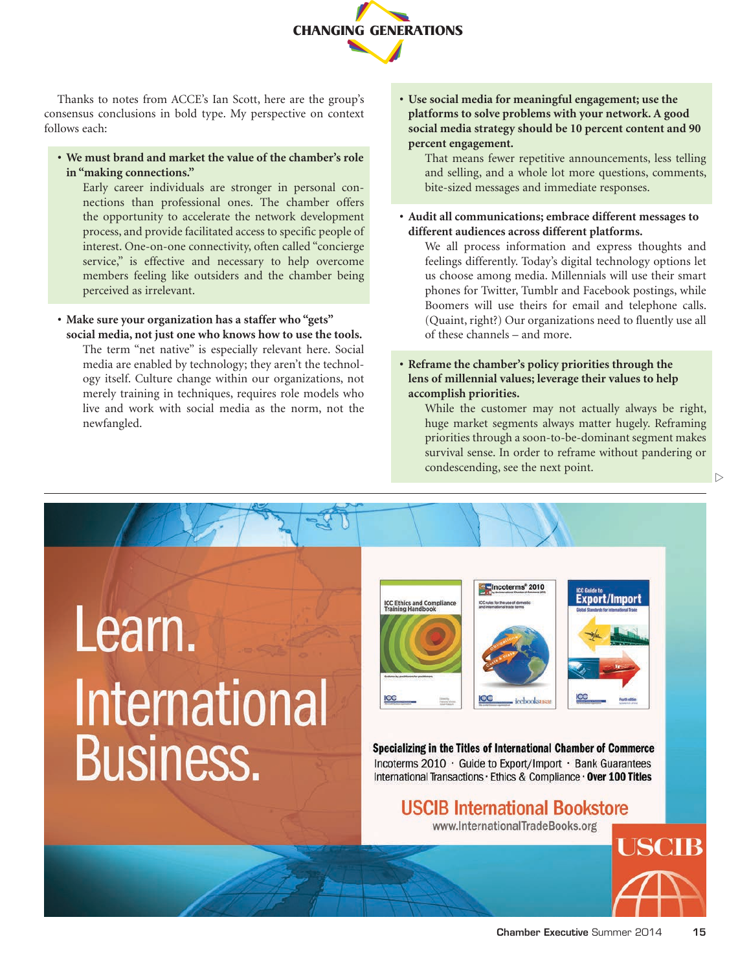

Thanks to notes from ACCE's Ian Scott, here are the group's consensus conclusions in bold type. My perspective on context follows each:

**• We must brand and market the value of the chamber's role in "making connections."** 

Early career individuals are stronger in personal connections than professional ones. The chamber offers the opportunity to accelerate the network development process, and provide facilitated access to specific people of interest. One-on-one connectivity, often called "concierge service," is effective and necessary to help overcome members feeling like outsiders and the chamber being perceived as irrelevant.

**• Make sure your organization has a staffer who "gets" social media, not just one who knows how to use the tools.**

The term "net native" is especially relevant here. Social media are enabled by technology; they aren't the technology itself. Culture change within our organizations, not merely training in techniques, requires role models who live and work with social media as the norm, not the newfangled.

**• Use social media for meaningful engagement; use the platforms to solve problems with your network. A good social media strategy should be 10 percent content and 90 percent engagement.** 

That means fewer repetitive announcements, less telling and selling, and a whole lot more questions, comments, bite-sized messages and immediate responses.

**• Audit all communications; embrace different messages to different audiences across different platforms.**

We all process information and express thoughts and feelings differently. Today's digital technology options let us choose among media. Millennials will use their smart phones for Twitter, Tumblr and Facebook postings, while Boomers will use theirs for email and telephone calls. (Quaint, right?) Our organizations need to fluently use all of these channels – and more.

**• Reframe the chamber's policy priorities through the lens of millennial values; leverage their values to help accomplish priorities.**

While the customer may not actually always be right, huge market segments always matter hugely. Reframing priorities through a soon-to-be-dominant segment makes survival sense. In order to reframe without pandering or condescending, see the next point.

# Learn. **International Business.**





Specializing in the Titles of International Chamber of Commerce Incoterms 2010 · Guide to Export/Import · Bank Guarantees International Transactions · Ethics & Compliance · Over 100 Titles

## **USCIB International Bookstore**

www.InternationalTradeBooks.org



USCIB

 $\triangleright$